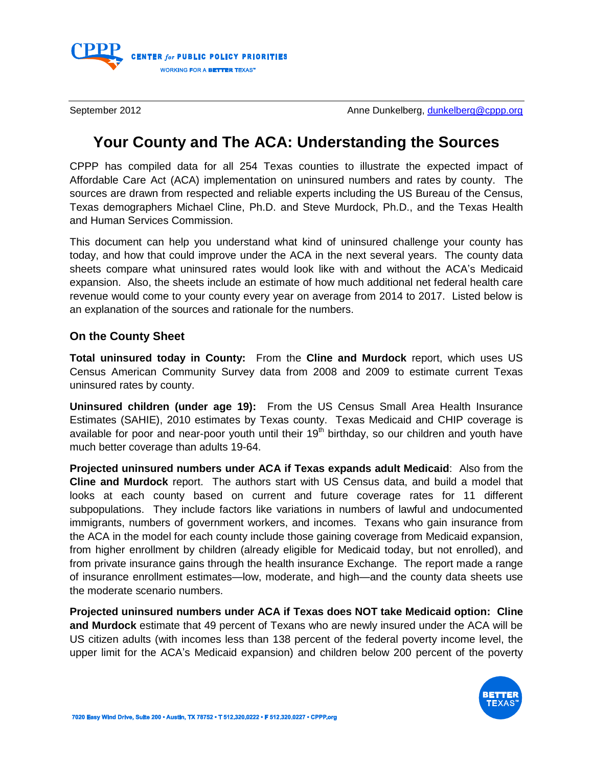

September 2012 **Anne Dunkelberg, [dunkelberg@cppp.org](mailto:dunkelberg@cppp.org)** Anne Dunkelberg, dunkelberg@cppp.org

## **Your County and The ACA: Understanding the Sources**

CPPP has compiled data for all 254 Texas counties to illustrate the expected impact of Affordable Care Act (ACA) implementation on uninsured numbers and rates by county. The sources are drawn from respected and reliable experts including the US Bureau of the Census, Texas demographers Michael Cline, Ph.D. and Steve Murdock, Ph.D., and the Texas Health and Human Services Commission.

This document can help you understand what kind of uninsured challenge your county has today, and how that could improve under the ACA in the next several years. The county data sheets compare what uninsured rates would look like with and without the ACA's Medicaid expansion. Also, the sheets include an estimate of how much additional net federal health care revenue would come to your county every year on average from 2014 to 2017. Listed below is an explanation of the sources and rationale for the numbers.

## **On the County Sheet**

**Total uninsured today in County:** From the **Cline and Murdock** report, which uses US Census American Community Survey data from 2008 and 2009 to estimate current Texas uninsured rates by county.

**Uninsured children (under age 19):** From the US Census Small Area Health Insurance Estimates (SAHIE), 2010 estimates by Texas county. Texas Medicaid and CHIP coverage is available for poor and near-poor youth until their  $19<sup>th</sup>$  birthday, so our children and youth have much better coverage than adults 19-64.

**Projected uninsured numbers under ACA if Texas expands adult Medicaid**: Also from the **Cline and Murdock** report. The authors start with US Census data, and build a model that looks at each county based on current and future coverage rates for 11 different subpopulations. They include factors like variations in numbers of lawful and undocumented immigrants, numbers of government workers, and incomes. Texans who gain insurance from the ACA in the model for each county include those gaining coverage from Medicaid expansion, from higher enrollment by children (already eligible for Medicaid today, but not enrolled), and from private insurance gains through the health insurance Exchange. The report made a range of insurance enrollment estimates—low, moderate, and high—and the county data sheets use the moderate scenario numbers.

**Projected uninsured numbers under ACA if Texas does NOT take Medicaid option: Cline and Murdock** estimate that 49 percent of Texans who are newly insured under the ACA will be US citizen adults (with incomes less than 138 percent of the federal poverty income level, the upper limit for the ACA's Medicaid expansion) and children below 200 percent of the poverty

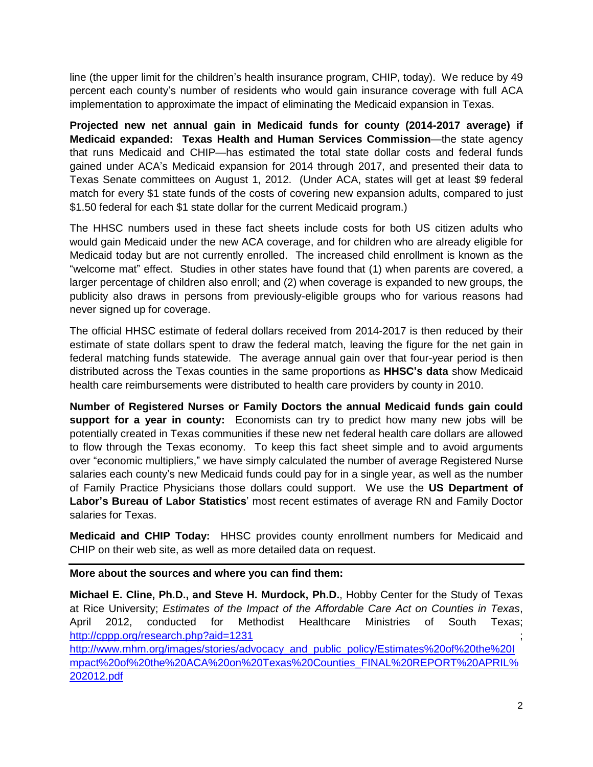line (the upper limit for the children's health insurance program, CHIP, today). We reduce by 49 percent each county's number of residents who would gain insurance coverage with full ACA implementation to approximate the impact of eliminating the Medicaid expansion in Texas.

**Projected new net annual gain in Medicaid funds for county (2014-2017 average) if Medicaid expanded: Texas Health and Human Services Commission**—the state agency that runs Medicaid and CHIP—has estimated the total state dollar costs and federal funds gained under ACA's Medicaid expansion for 2014 through 2017, and presented their data to Texas Senate committees on August 1, 2012. (Under ACA, states will get at least \$9 federal match for every \$1 state funds of the costs of covering new expansion adults, compared to just \$1.50 federal for each \$1 state dollar for the current Medicaid program.)

The HHSC numbers used in these fact sheets include costs for both US citizen adults who would gain Medicaid under the new ACA coverage, and for children who are already eligible for Medicaid today but are not currently enrolled. The increased child enrollment is known as the "welcome mat" effect. Studies in other states have found that (1) when parents are covered, a larger percentage of children also enroll; and (2) when coverage is expanded to new groups, the publicity also draws in persons from previously-eligible groups who for various reasons had never signed up for coverage.

The official HHSC estimate of federal dollars received from 2014-2017 is then reduced by their estimate of state dollars spent to draw the federal match, leaving the figure for the net gain in federal matching funds statewide. The average annual gain over that four-year period is then distributed across the Texas counties in the same proportions as **HHSC's data** show Medicaid health care reimbursements were distributed to health care providers by county in 2010.

**Number of Registered Nurses or Family Doctors the annual Medicaid funds gain could support for a year in county:** Economists can try to predict how many new jobs will be potentially created in Texas communities if these new net federal health care dollars are allowed to flow through the Texas economy. To keep this fact sheet simple and to avoid arguments over "economic multipliers," we have simply calculated the number of average Registered Nurse salaries each county's new Medicaid funds could pay for in a single year, as well as the number of Family Practice Physicians those dollars could support. We use the **US Department of Labor's Bureau of Labor Statistics**' most recent estimates of average RN and Family Doctor salaries for Texas.

**Medicaid and CHIP Today:** HHSC provides county enrollment numbers for Medicaid and CHIP on their web site, as well as more detailed data on request.

**More about the sources and where you can find them:** 

**Michael E. Cline, Ph.D., and Steve H. Murdock, Ph.D.**, Hobby Center for the Study of Texas at Rice University; *Estimates of the Impact of the Affordable Care Act on Counties in Texas*, April 2012, conducted for Methodist Healthcare Ministries of South Texas; <http://cppp.org/research.php?aid=1231>

[http://www.mhm.org/images/stories/advocacy\\_and\\_public\\_policy/Estimates%20of%20the%20I](http://www.mhm.org/images/stories/advocacy_and_public_policy/Estimates%20of%20the%20Impact%20of%20the%20ACA%20on%20Texas%20Counties_FINAL%20REPORT%20APRIL%202012.pdf) [mpact%20of%20the%20ACA%20on%20Texas%20Counties\\_FINAL%20REPORT%20APRIL%](http://www.mhm.org/images/stories/advocacy_and_public_policy/Estimates%20of%20the%20Impact%20of%20the%20ACA%20on%20Texas%20Counties_FINAL%20REPORT%20APRIL%202012.pdf) [202012.pdf](http://www.mhm.org/images/stories/advocacy_and_public_policy/Estimates%20of%20the%20Impact%20of%20the%20ACA%20on%20Texas%20Counties_FINAL%20REPORT%20APRIL%202012.pdf)